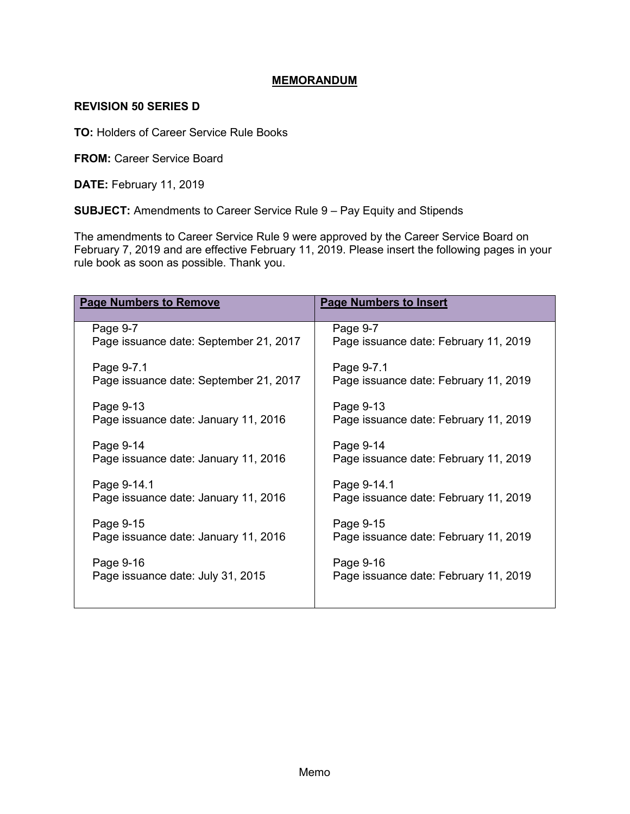## **MEMORANDUM**

## **REVISION 50 SERIES D**

**TO:** Holders of Career Service Rule Books

**FROM: Career Service Board** 

**DATE:** February 11, 2019

**SUBJECT:** Amendments to Career Service Rule 9 – Pay Equity and Stipends

The amendments to Career Service Rule 9 were approved by the Career Service Board on February 7, 2019 and are effective February 11, 2019. Please insert the following pages in your rule book as soon as possible. Thank you.

| <b>Page Numbers to Remove</b>          | <b>Page Numbers to Insert</b>         |
|----------------------------------------|---------------------------------------|
| Page 9-7                               | Page 9-7                              |
| Page issuance date: September 21, 2017 | Page issuance date: February 11, 2019 |
| Page 9-7.1                             | Page 9-7.1                            |
| Page issuance date: September 21, 2017 | Page issuance date: February 11, 2019 |
| Page 9-13                              | Page 9-13                             |
| Page issuance date: January 11, 2016   | Page issuance date: February 11, 2019 |
| Page 9-14                              | Page 9-14                             |
| Page issuance date: January 11, 2016   | Page issuance date: February 11, 2019 |
| Page 9-14.1                            | Page 9-14.1                           |
| Page issuance date: January 11, 2016   | Page issuance date: February 11, 2019 |
| Page 9-15                              | Page 9-15                             |
| Page issuance date: January 11, 2016   | Page issuance date: February 11, 2019 |
| Page 9-16                              | Page 9-16                             |
| Page issuance date: July 31, 2015      | Page issuance date: February 11, 2019 |
|                                        |                                       |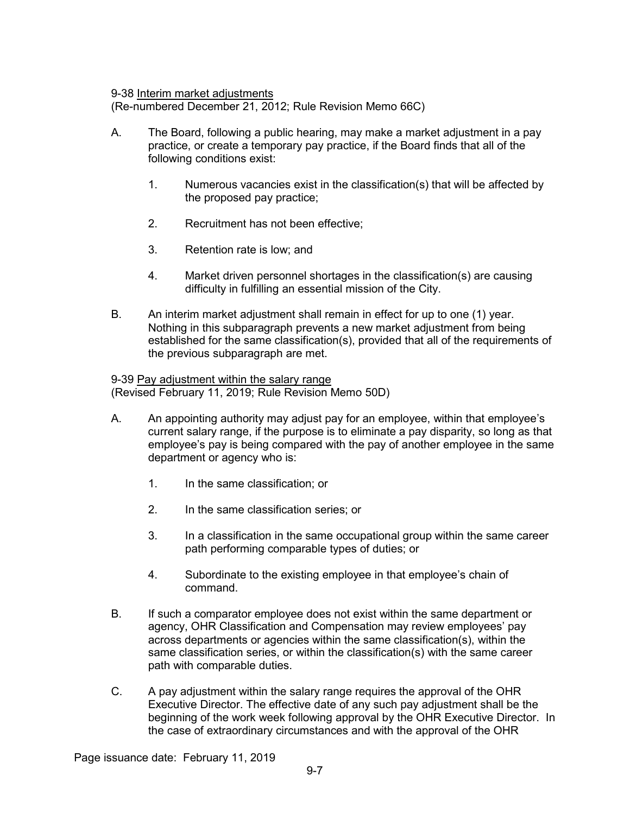9-38 Interim market adjustments

(Re-numbered December 21, 2012; Rule Revision Memo 66C)

- A. The Board, following a public hearing, may make a market adjustment in a pay practice, or create a temporary pay practice, if the Board finds that all of the following conditions exist:
	- 1. Numerous vacancies exist in the classification(s) that will be affected by the proposed pay practice;
	- 2. Recruitment has not been effective;
	- 3. Retention rate is low; and
	- 4. Market driven personnel shortages in the classification(s) are causing difficulty in fulfilling an essential mission of the City.
- B. An interim market adjustment shall remain in effect for up to one (1) year. Nothing in this subparagraph prevents a new market adjustment from being established for the same classification(s), provided that all of the requirements of the previous subparagraph are met.

9-39 Pay adjustment within the salary range (Revised February 11, 2019; Rule Revision Memo 50D)

- A. An appointing authority may adjust pay for an employee, within that employee's current salary range, if the purpose is to eliminate a pay disparity, so long as that employee's pay is being compared with the pay of another employee in the same department or agency who is:
	- 1. In the same classification; or
	- 2. In the same classification series; or
	- 3. In a classification in the same occupational group within the same career path performing comparable types of duties; or
	- 4. Subordinate to the existing employee in that employee's chain of command.
- B. If such a comparator employee does not exist within the same department or agency, OHR Classification and Compensation may review employees' pay across departments or agencies within the same classification(s), within the same classification series, or within the classification(s) with the same career path with comparable duties.
- C. A pay adjustment within the salary range requires the approval of the OHR Executive Director. The effective date of any such pay adjustment shall be the beginning of the work week following approval by the OHR Executive Director. In the case of extraordinary circumstances and with the approval of the OHR

Page issuance date: February 11, 2019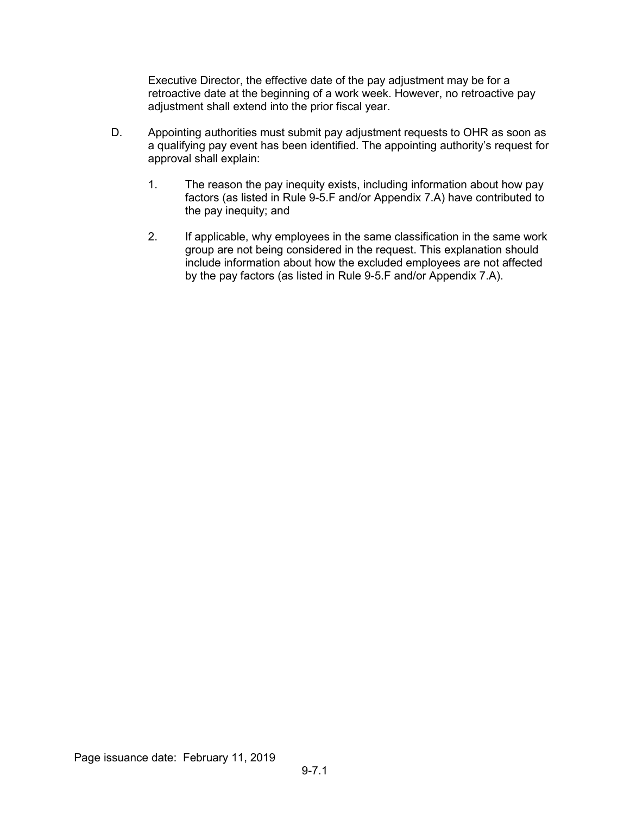Executive Director, the effective date of the pay adjustment may be for a retroactive date at the beginning of a work week. However, no retroactive pay adjustment shall extend into the prior fiscal year.

- D. Appointing authorities must submit pay adjustment requests to OHR as soon as a qualifying pay event has been identified. The appointing authority's request for approval shall explain:
	- 1. The reason the pay inequity exists, including information about how pay factors (as listed in Rule 9-5.F and/or Appendix 7.A) have contributed to the pay inequity; and
	- 2. If applicable, why employees in the same classification in the same work group are not being considered in the request. This explanation should include information about how the excluded employees are not affected by the pay factors (as listed in Rule 9-5.F and/or Appendix 7.A).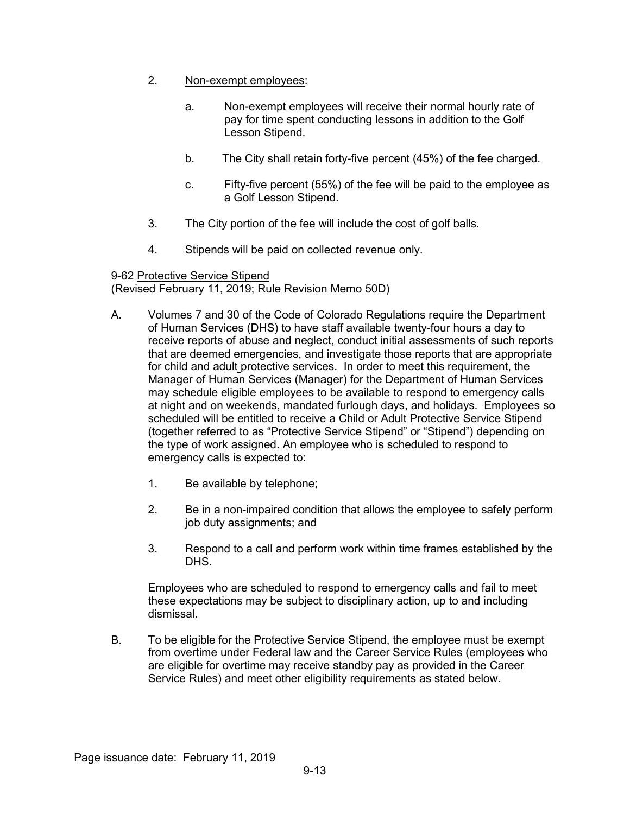- 2. Non-exempt employees:
	- a. Non-exempt employees will receive their normal hourly rate of pay for time spent conducting lessons in addition to the Golf Lesson Stipend.
	- b. The City shall retain forty-five percent (45%) of the fee charged.
	- c. Fifty-five percent (55%) of the fee will be paid to the employee as a Golf Lesson Stipend.
- 3. The City portion of the fee will include the cost of golf balls.
- 4. Stipends will be paid on collected revenue only.

## 9-62 Protective Service Stipend

(Revised February 11, 2019; Rule Revision Memo 50D)

- A. Volumes 7 and 30 of the Code of Colorado Regulations require the Department of Human Services (DHS) to have staff available twenty-four hours a day to receive reports of abuse and neglect, conduct initial assessments of such reports that are deemed emergencies, and investigate those reports that are appropriate for child and adult protective services. In order to meet this requirement, the Manager of Human Services (Manager) for the Department of Human Services may schedule eligible employees to be available to respond to emergency calls at night and on weekends, mandated furlough days, and holidays. Employees so scheduled will be entitled to receive a Child or Adult Protective Service Stipend (together referred to as "Protective Service Stipend" or "Stipend") depending on the type of work assigned. An employee who is scheduled to respond to emergency calls is expected to:
	- 1. Be available by telephone;
	- 2. Be in a non-impaired condition that allows the employee to safely perform job duty assignments; and
	- 3. Respond to a call and perform work within time frames established by the DHS.

Employees who are scheduled to respond to emergency calls and fail to meet these expectations may be subject to disciplinary action, up to and including dismissal.

B. To be eligible for the Protective Service Stipend, the employee must be exempt from overtime under Federal law and the Career Service Rules (employees who are eligible for overtime may receive standby pay as provided in the Career Service Rules) and meet other eligibility requirements as stated below.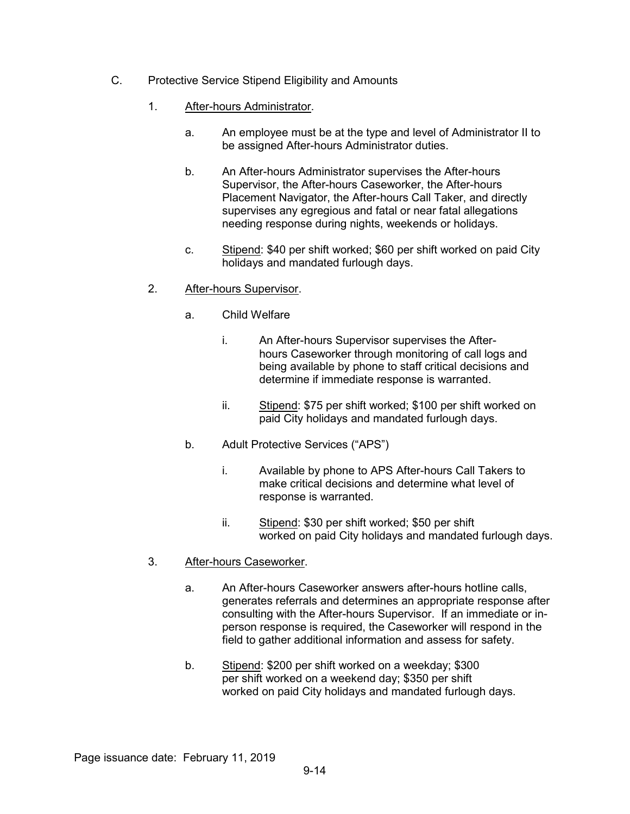- C. Protective Service Stipend Eligibility and Amounts
	- 1. After-hours Administrator.
		- a. An employee must be at the type and level of Administrator II to be assigned After-hours Administrator duties.
		- b. An After-hours Administrator supervises the After-hours Supervisor, the After-hours Caseworker, the After-hours Placement Navigator, the After-hours Call Taker, and directly supervises any egregious and fatal or near fatal allegations needing response during nights, weekends or holidays.
		- c. Stipend: \$40 per shift worked; \$60 per shift worked on paid City holidays and mandated furlough days.
	- 2. After-hours Supervisor.
		- a. Child Welfare
			- i. An After-hours Supervisor supervises the Afterhours Caseworker through monitoring of call logs and being available by phone to staff critical decisions and determine if immediate response is warranted.
			- ii. Stipend: \$75 per shift worked; \$100 per shift worked on paid City holidays and mandated furlough days.
		- b. Adult Protective Services ("APS")
			- i. Available by phone to APS After-hours Call Takers to make critical decisions and determine what level of response is warranted.
			- ii. Stipend: \$30 per shift worked; \$50 per shift worked on paid City holidays and mandated furlough days.
	- 3. After-hours Caseworker.
		- a. An After-hours Caseworker answers after-hours hotline calls, generates referrals and determines an appropriate response after consulting with the After-hours Supervisor. If an immediate or inperson response is required, the Caseworker will respond in the field to gather additional information and assess for safety.
		- b. Stipend: \$200 per shift worked on a weekday; \$300 per shift worked on a weekend day; \$350 per shift worked on paid City holidays and mandated furlough days.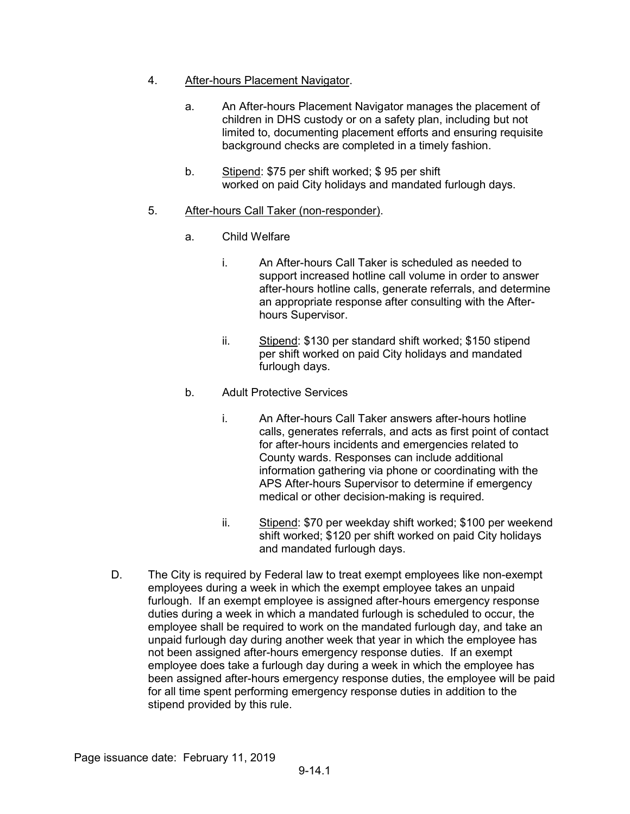- 4. After-hours Placement Navigator.
	- a. An After-hours Placement Navigator manages the placement of children in DHS custody or on a safety plan, including but not limited to, documenting placement efforts and ensuring requisite background checks are completed in a timely fashion.
	- b. Stipend: \$75 per shift worked; \$ 95 per shift worked on paid City holidays and mandated furlough days.
- 5. After-hours Call Taker (non-responder).
	- a. Child Welfare
		- i. An After-hours Call Taker is scheduled as needed to support increased hotline call volume in order to answer after-hours hotline calls, generate referrals, and determine an appropriate response after consulting with the Afterhours Supervisor.
		- ii. Stipend: \$130 per standard shift worked; \$150 stipend per shift worked on paid City holidays and mandated furlough days.
	- b. Adult Protective Services
		- i. An After-hours Call Taker answers after-hours hotline calls, generates referrals, and acts as first point of contact for after-hours incidents and emergencies related to County wards. Responses can include additional information gathering via phone or coordinating with the APS After-hours Supervisor to determine if emergency medical or other decision-making is required.
		- ii. Stipend: \$70 per weekday shift worked; \$100 per weekend shift worked; \$120 per shift worked on paid City holidays and mandated furlough days.
- D. The City is required by Federal law to treat exempt employees like non-exempt employees during a week in which the exempt employee takes an unpaid furlough. If an exempt employee is assigned after-hours emergency response duties during a week in which a mandated furlough is scheduled to occur, the employee shall be required to work on the mandated furlough day, and take an unpaid furlough day during another week that year in which the employee has not been assigned after-hours emergency response duties. If an exempt employee does take a furlough day during a week in which the employee has been assigned after-hours emergency response duties, the employee will be paid for all time spent performing emergency response duties in addition to the stipend provided by this rule.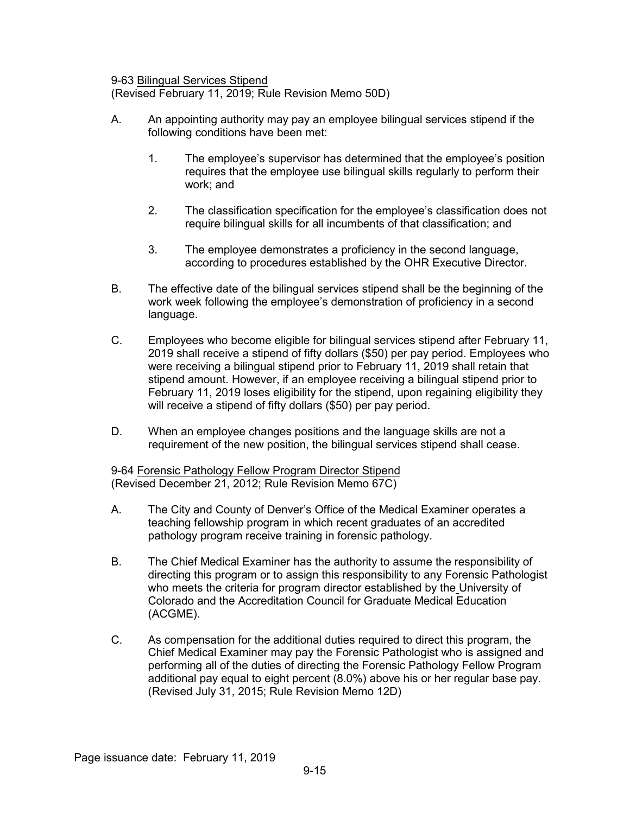9-63 Bilingual Services Stipend

(Revised February 11, 2019; Rule Revision Memo 50D)

- A. An appointing authority may pay an employee bilingual services stipend if the following conditions have been met:
	- 1. The employee's supervisor has determined that the employee's position requires that the employee use bilingual skills regularly to perform their work; and
	- 2. The classification specification for the employee's classification does not require bilingual skills for all incumbents of that classification; and
	- 3. The employee demonstrates a proficiency in the second language, according to procedures established by the OHR Executive Director.
- B. The effective date of the bilingual services stipend shall be the beginning of the work week following the employee's demonstration of proficiency in a second language.
- C. Employees who become eligible for bilingual services stipend after February 11, 2019 shall receive a stipend of fifty dollars (\$50) per pay period. Employees who were receiving a bilingual stipend prior to February 11, 2019 shall retain that stipend amount. However, if an employee receiving a bilingual stipend prior to February 11, 2019 loses eligibility for the stipend, upon regaining eligibility they will receive a stipend of fifty dollars (\$50) per pay period.
- D. When an employee changes positions and the language skills are not a requirement of the new position, the bilingual services stipend shall cease.

9-64 Forensic Pathology Fellow Program Director Stipend (Revised December 21, 2012; Rule Revision Memo 67C)

- A. The City and County of Denver's Office of the Medical Examiner operates a teaching fellowship program in which recent graduates of an accredited pathology program receive training in forensic pathology.
- B. The Chief Medical Examiner has the authority to assume the responsibility of directing this program or to assign this responsibility to any Forensic Pathologist who meets the criteria for program director established by the University of Colorado and the Accreditation Council for Graduate Medical Education (ACGME).
- C. As compensation for the additional duties required to direct this program, the Chief Medical Examiner may pay the Forensic Pathologist who is assigned and performing all of the duties of directing the Forensic Pathology Fellow Program additional pay equal to eight percent (8.0%) above his or her regular base pay. (Revised July 31, 2015; Rule Revision Memo 12D)